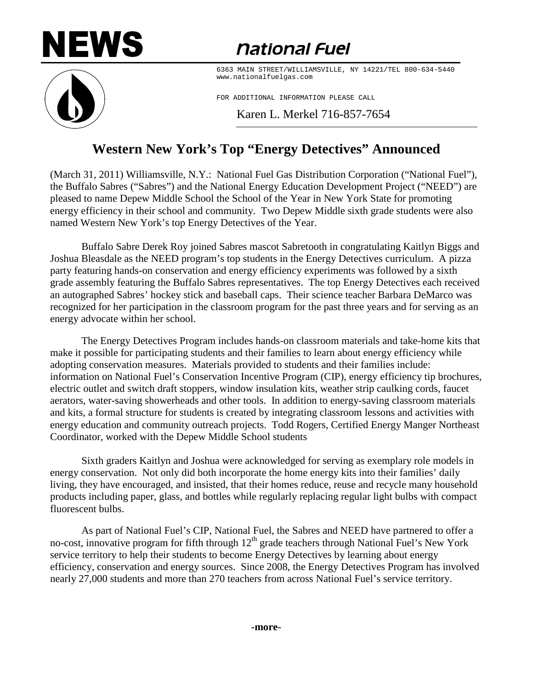## **NEWS**

## *<u>national Fuel</u>*



6363 MAIN STREET/WILLIAMSVILLE, NY 14221/TEL 800-634-5440 www.nationalfuelgas.com

FOR ADDITIONAL INFORMATION PLEASE CALL

Karen L. Merkel 716-857-7654

## **Western New York's Top "Energy Detectives" Announced**

(March 31, 2011) Williamsville, N.Y.: National Fuel Gas Distribution Corporation ("National Fuel"), the Buffalo Sabres ("Sabres") and the National Energy Education Development Project ("NEED") are pleased to name Depew Middle School the School of the Year in New York State for promoting energy efficiency in their school and community. Two Depew Middle sixth grade students were also named Western New York's top Energy Detectives of the Year.

Buffalo Sabre Derek Roy joined Sabres mascot Sabretooth in congratulating Kaitlyn Biggs and Joshua Bleasdale as the NEED program's top students in the Energy Detectives curriculum. A pizza party featuring hands-on conservation and energy efficiency experiments was followed by a sixth grade assembly featuring the Buffalo Sabres representatives. The top Energy Detectives each received an autographed Sabres' hockey stick and baseball caps. Their science teacher Barbara DeMarco was recognized for her participation in the classroom program for the past three years and for serving as an energy advocate within her school.

The Energy Detectives Program includes hands-on classroom materials and take-home kits that make it possible for participating students and their families to learn about energy efficiency while adopting conservation measures. Materials provided to students and their families include: information on National Fuel's Conservation Incentive Program (CIP), energy efficiency tip brochures, electric outlet and switch draft stoppers, window insulation kits, weather strip caulking cords, faucet aerators, water-saving showerheads and other tools. In addition to energy-saving classroom materials and kits, a formal structure for students is created by integrating classroom lessons and activities with energy education and community outreach projects. Todd Rogers, Certified Energy Manger Northeast Coordinator, worked with the Depew Middle School students

Sixth graders Kaitlyn and Joshua were acknowledged for serving as exemplary role models in energy conservation. Not only did both incorporate the home energy kits into their families' daily living, they have encouraged, and insisted, that their homes reduce, reuse and recycle many household products including paper, glass, and bottles while regularly replacing regular light bulbs with compact fluorescent bulbs.

As part of National Fuel's CIP, National Fuel, the Sabres and NEED have partnered to offer a no-cost, innovative program for fifth through  $12<sup>th</sup>$  grade teachers through National Fuel's New York service territory to help their students to become Energy Detectives by learning about energy efficiency, conservation and energy sources. Since 2008, the Energy Detectives Program has involved nearly 27,000 students and more than 270 teachers from across National Fuel's service territory.